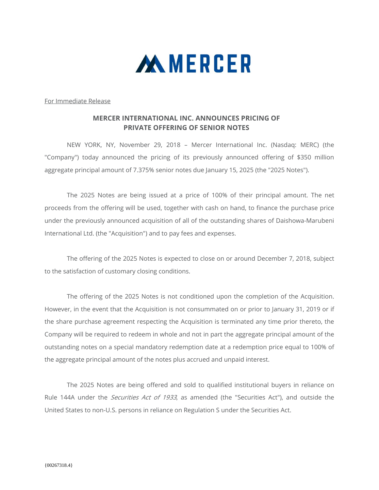

For Immediate Release

## **MERCER INTERNATIONAL INC. ANNOUNCES PRICING OF PRIVATE OFFERING OF SENIOR NOTES**

 NEW YORK, NY, November 29, 2018 – Mercer International Inc. (Nasdaq: MERC) (the "Company") today announced the pricing of its previously announced offering of \$350 million aggregate principal amount of 7.375% senior notes due January 15, 2025 (the "2025 Notes").

The 2025 Notes are being issued at a price of 100% of their principal amount. The net proceeds from the offering will be used, together with cash on hand, to finance the purchase price under the previously announced acquisition of all of the outstanding shares of Daishowa-Marubeni International Ltd. (the "Acquisition") and to pay fees and expenses.

The offering of the 2025 Notes is expected to close on or around December 7, 2018, subject to the satisfaction of customary closing conditions.

The offering of the 2025 Notes is not conditioned upon the completion of the Acquisition. However, in the event that the Acquisition is not consummated on or prior to January 31, 2019 or if the share purchase agreement respecting the Acquisition is terminated any time prior thereto, the Company will be required to redeem in whole and not in part the aggregate principal amount of the outstanding notes on a special mandatory redemption date at a redemption price equal to 100% of the aggregate principal amount of the notes plus accrued and unpaid interest.

The 2025 Notes are being offered and sold to qualified institutional buyers in reliance on Rule 144A under the *Securities Act of 1933*, as amended (the "Securities Act"), and outside the United States to non-U.S. persons in reliance on Regulation S under the Securities Act.